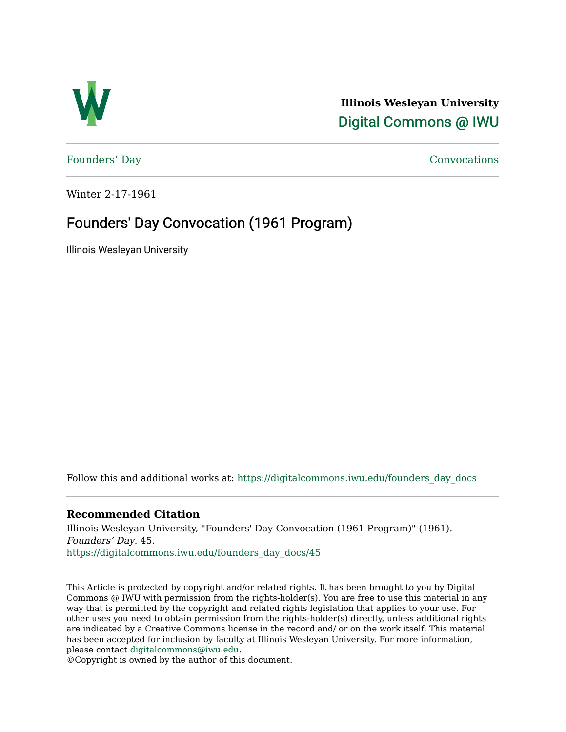

**Illinois Wesleyan University**  [Digital Commons @ IWU](https://digitalcommons.iwu.edu/) 

[Founders' Day](https://digitalcommons.iwu.edu/founders_day_docs) [Convocations](https://digitalcommons.iwu.edu/convocations_docs) 

Winter 2-17-1961

# Founders' Day Convocation (1961 Program)

Illinois Wesleyan University

Follow this and additional works at: [https://digitalcommons.iwu.edu/founders\\_day\\_docs](https://digitalcommons.iwu.edu/founders_day_docs?utm_source=digitalcommons.iwu.edu%2Ffounders_day_docs%2F45&utm_medium=PDF&utm_campaign=PDFCoverPages) 

### **Recommended Citation**

Illinois Wesleyan University, "Founders' Day Convocation (1961 Program)" (1961). Founders' Day. 45. [https://digitalcommons.iwu.edu/founders\\_day\\_docs/45](https://digitalcommons.iwu.edu/founders_day_docs/45?utm_source=digitalcommons.iwu.edu%2Ffounders_day_docs%2F45&utm_medium=PDF&utm_campaign=PDFCoverPages)

This Article is protected by copyright and/or related rights. It has been brought to you by Digital Commons @ IWU with permission from the rights-holder(s). You are free to use this material in any way that is permitted by the copyright and related rights legislation that applies to your use. For other uses you need to obtain permission from the rights-holder(s) directly, unless additional rights are indicated by a Creative Commons license in the record and/ or on the work itself. This material has been accepted for inclusion by faculty at Illinois Wesleyan University. For more information, please contact [digitalcommons@iwu.edu.](mailto:digitalcommons@iwu.edu)

©Copyright is owned by the author of this document.